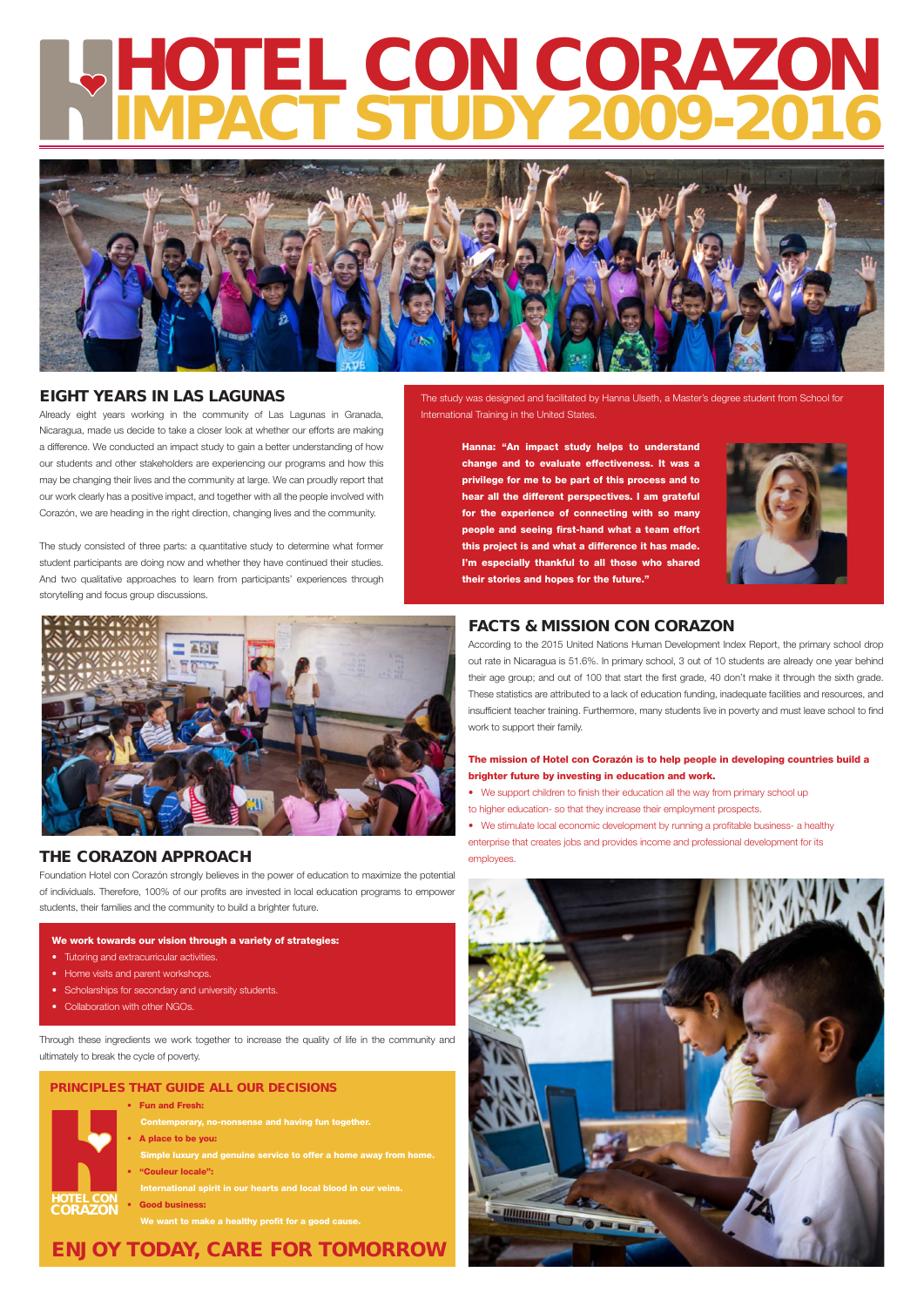# HOTEL CON CORAZON IMPACT STUDY 2009-2016



## EIGHT YEARS IN LAS LAGUNAS

Already eight years working in the community of Las Lagunas in Granada, Nicaragua, made us decide to take a closer look at whether our efforts are making a difference. We conducted an impact study to gain a better understanding of how our students and other stakeholders are experiencing our programs and how this may be changing their lives and the community at large. We can proudly report that our work clearly has a positive impact, and together with all the people involved with Corazón, we are heading in the right direction, changing lives and the community.

- HOTEL CON CORAZON
- Fun and Fresh:
	- Contemporary, no-nonsense and having fun together.
	- A place to be you:

 International spirit in our hearts and local blood in our veins. **Good business:** 

The study consisted of three parts: a quantitative study to determine what former student participants are doing now and whether they have continued their studies. And two qualitative approaches to learn from participants' experiences through storytelling and focus group discussions.

- We support children to finish their education all the way from primary school up
- to higher education- so that they increase their employment prospects.

Simple luxury and genuine service to offer a home away from home.

• "Couleur locale":

We want to make a healthy profit for a good cause.

## FACTS & MISSION CON CORAZON

According to the 2015 United Nations Human Development Index Report, the primary school drop out rate in Nicaragua is 51.6%. In primary school, 3 out of 10 students are already one year behind their age group; and out of 100 that start the first grade, 40 don't make it through the sixth grade. These statistics are attributed to a lack of education funding, inadequate facilities and resources, and insufficient teacher training. Furthermore, many students live in poverty and must leave school to find work to support their family.

## The mission of Hotel con Corazón is to help people in developing countries build a brighter future by investing in education and work.

• We stimulate local economic development by running a profitable business- a healthy enterprise that creates jobs and provides income and professional development for its employees.



## ENJOY TODAY, CARE FOR TOMORROW

#### PRINCIPLES THAT GUIDE ALL OUR DECISIONS



## THE CORAZON APPROACH

Foundation Hotel con Corazón strongly believes in the power of education to maximize the potential of individuals. Therefore, 100% of our profits are invested in local education programs to empower students, their families and the community to build a brighter future.

#### We work towards our vision through a variety of strategies:

- Tutoring and extracurricular activities.
- Home visits and parent workshops.
- 
- Scholarships for secondary and university students.
- Collaboration with other NGOs.

Through these ingredients we work together to increase the quality of life in the community and ultimately to break the cycle of poverty.

Hanna: "An impact study helps to understand change and to evaluate effectiveness. It was a privilege for me to be part of this process and to hear all the different perspectives. I am grateful for the experience of connecting with so many people and seeing first-hand what a team effort this project is and what a difference it has made. I'm especially thankful to all those who shared their stories and hopes for the future."



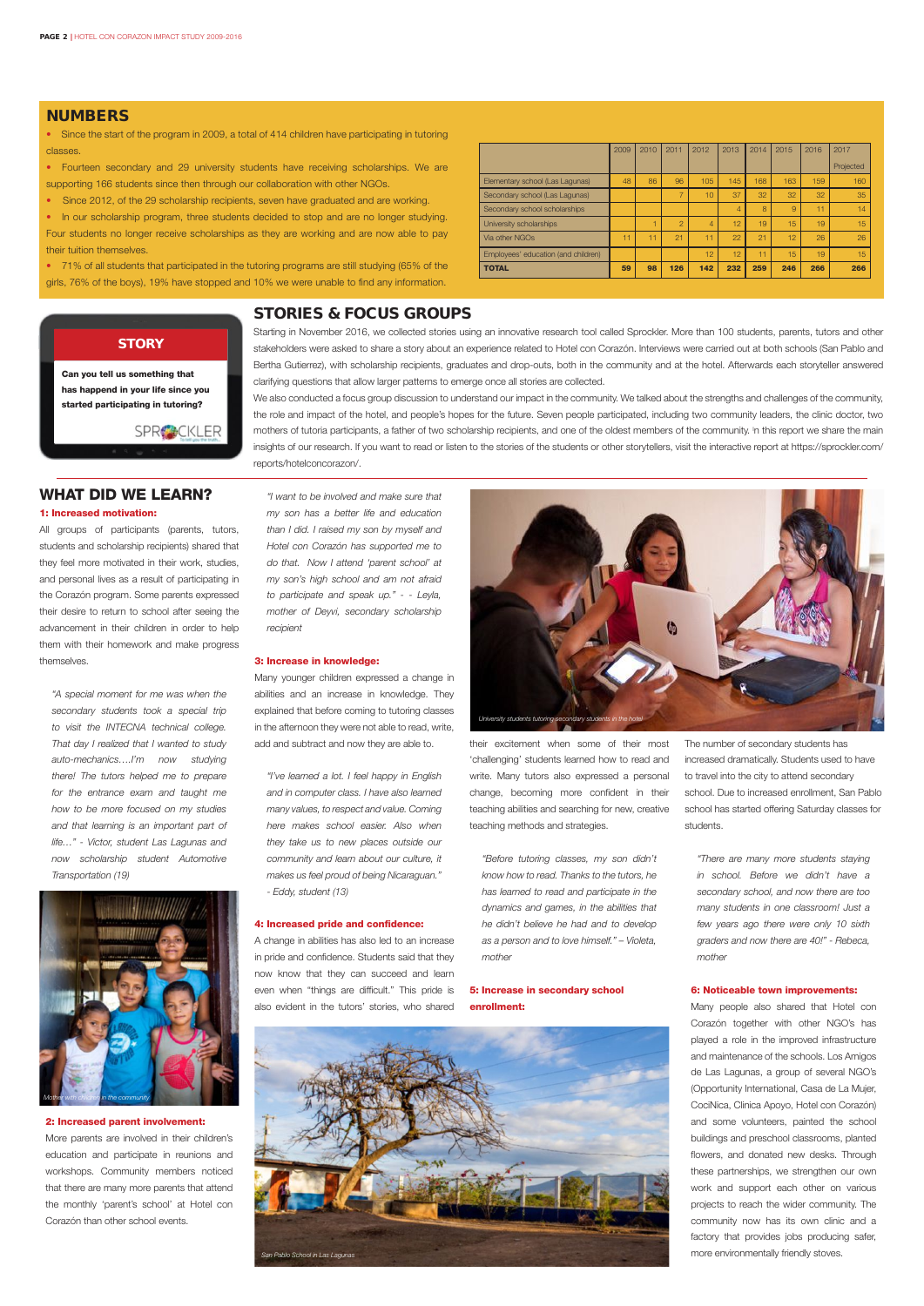## NUMBERS

• Since the start of the program in 2009, a total of 414 children have participating in tutoring classes.

• Fourteen secondary and 29 university students have receiving scholarships. We are supporting 166 students since then through our collaboration with other NGOs.

• In our scholarship program, three students decided to stop and are no longer studying. Four students no longer receive scholarships as they are working and are now able to pay their tuition themselves.

• Since 2012, of the 29 scholarship recipients, seven have graduated and are working.

• 71% of all students that participated in the tutoring programs are still studying (65% of the girls, 76% of the boys), 19% have stopped and 10% we were unable to find any information.

## WHAT DID WE LEARN?

#### 1: Increased motivation:

All groups of participants (parents, tutors, students and scholarship recipients) shared that they feel more motivated in their work, studies, and personal lives as a result of participating in the Corazón program. Some parents expressed their desire to return to school after seeing the advancement in their children in order to help them with their homework and make progress themselves.

*"A special moment for me was when the secondary students took a special trip to visit the INTECNA technical college. That day I realized that I wanted to study auto-mechanics….I'm now studying there! The tutors helped me to prepare for the entrance exam and taught me how to be more focused on my studies and that learning is an important part of life…" - Victor, student Las Lagunas and now scholarship student Automotive Transportation (19)*

#### 2: Increased parent involvement:

More parents are involved in their children's education and participate in reunions and workshops. Community members noticed that there are many more parents that attend the monthly 'parent's school' at Hotel con Corazón than other school events.

*"I want to be involved and make sure that my son has a better life and education than I did. I raised my son by myself and Hotel con Corazón has supported me to do that. Now I attend 'parent school' at my son's high school and am not afraid to participate and speak up." - - Leyla, mother of Deyvi, secondary scholarship recipient*

#### 3: Increase in knowledge:

Many younger children expressed a change in abilities and an increase in knowledge. They explained that before coming to tutoring classes in the afternoon they were not able to read, write, add and subtract and now they are able to.

*"I've learned a lot. I feel happy in English and in computer class. I have also learned many values, to respect and value. Coming here makes school easier. Also when they take us to new places outside our community and learn about our culture, it makes us feel proud of being Nicaraguan." - Eddy, student (13)*

#### 4: Increased pride and confidence:

A change in abilities has also led to an increase in pride and confidence. Students said that they now know that they can succeed and learn

even when "things are difficult." This pride is also evident in the tutors' stories, who shared

their excitement when some of their most 'challenging' students learned how to read and write. Many tutors also expressed a personal change, becoming more confident in their teaching abilities and searching for new, creative teaching methods and strategies.

*"Before tutoring classes, my son didn't know how to read. Thanks to the tutors, he has learned to read and participate in the dynamics and games, in the abilities that he didn't believe he had and to develop as a person and to love himself." – Violeta, mother*

5: Increase in secondary school enrollment:

The number of secondary students has increased dramatically. Students used to have to travel into the city to attend secondary school. Due to increased enrollment, San Pablo school has started offering Saturday classes for students.

*"There are many more students staying in school. Before we didn't have a secondary school, and now there are too many students in one classroom! Just a few years ago there were only 10 sixth graders and now there are 40!" - Rebeca, mother*

#### 6: Noticeable town improvements:

Many people also shared that Hotel con Corazón together with other NGO's has played a role in the improved infrastructure and maintenance of the schools. Los Amigos de Las Lagunas, a group of several NGO's (Opportunity International, Casa de La Mujer, CociNica, Clinica Apoyo, Hotel con Corazón) and some volunteers, painted the school buildings and preschool classrooms, planted flowers, and donated new desks. Through these partnerships, we strengthen our own work and support each other on various projects to reach the wider community. The community now has its own clinic and a factory that provides jobs producing safer, more environmentally friendly stoves.

|                                     | 2009 | 2010 | 2011           | 2012 | 2013           | 2014           | 2015 | 2016 | 2017      |
|-------------------------------------|------|------|----------------|------|----------------|----------------|------|------|-----------|
|                                     |      |      |                |      |                |                |      |      | Projected |
| Elementary school (Las Lagunas)     | 48   | 86   | 96             | 105  | 145            | 168            | 163  | 159  | 160       |
| Secondary school (Las Lagunas)      |      |      | $\overline{ }$ | 10   | 37             | 32             | 32   | 32   | 35        |
| Secondary school scholarships       |      |      |                |      | $\overline{4}$ | $\overline{R}$ | 9    | 1    | 14        |
| University scholarships             |      |      | $\overline{a}$ | 4    | 12             | 19             | 15   | 19   | 15        |
| Via other NGOs                      | 11   |      | 21             | 1    | 22             | 21             | 12   | 26   | 26        |
| Employees' education (and children) |      |      |                | 12   | 12             | 11             | 15   | 19   | 15        |
| <b>TOTAL</b>                        | 59   | 98   | 126            | 142  | 232            | 259            | 246  | 266  | 266       |

## **STORY**

## STORIES & FOCUS GROUPS

Starting in November 2016, we collected stories using an innovative research tool called Sprockler. More than 100 students, parents, tutors and other stakeholders were asked to share a story about an experience related to Hotel con Corazón. Interviews were carried out at both schools (San Pablo and Bertha Gutierrez), with scholarship recipients, graduates and drop-outs, both in the community and at the hotel. Afterwards each storyteller answered clarifying questions that allow larger patterns to emerge once all stories are collected.

We also conducted a focus group discussion to understand our impact in the community. We talked about the strengths and challenges of the community, the role and impact of the hotel, and people's hopes for the future. Seven people participated, including two community leaders, the clinic doctor, two mothers of tutoria participants, a father of two scholarship recipients, and one of the oldest members of the community. I n this report we share the main insights of our research. If you want to read or listen to the stories of the students or other storytellers, visit the interactive report at [https://sprockler.com/](https://sprockler.com/reports/hotelconcorazon/) [reports/hotelconcorazon/.](https://sprockler.com/reports/hotelconcorazon/)







Can you tell us something that has happend in your life since you started participating in tutoring?

SPR<sup>2</sup>CKLER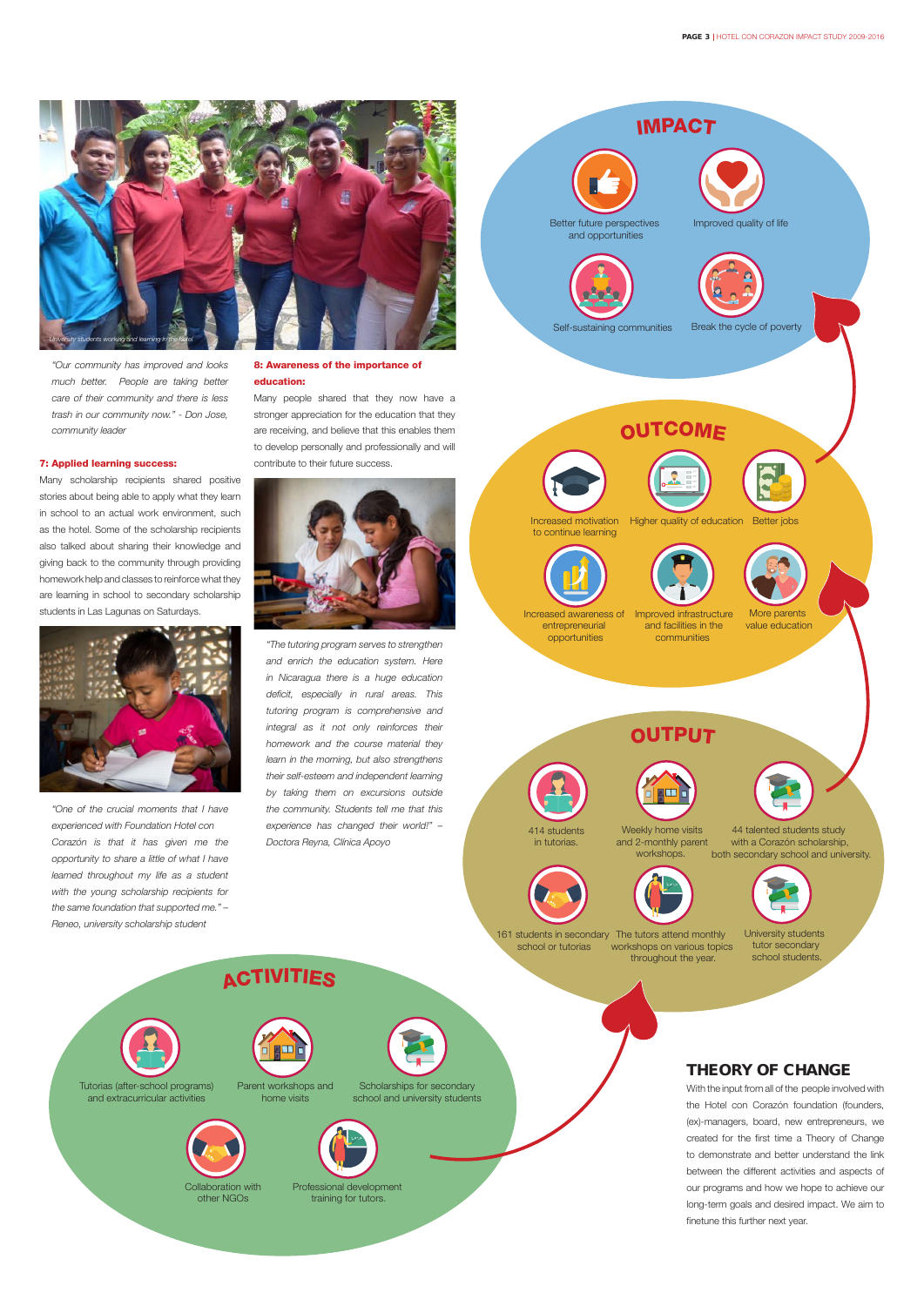*"Our community has improved and looks much better. People are taking better care of their community and there is less trash in our community now." - Don Jose, community leader*

#### 7: Applied learning success:

Many scholarship recipients shared positive stories about being able to apply what they learn in school to an actual work environment, such as the hotel. Some of the scholarship recipients also talked about sharing their knowledge and giving back to the community through providing homework help and classes to reinforce what they are learning in school to secondary scholarship students in Las Lagunas on Saturdays.



*"One of the crucial moments that I have experienced with Foundation Hotel con Corazón is that it has given me the opportunity to share a little of what I have learned throughout my life as a student with the young scholarship recipients for the same foundation that supported me." – Reneo, university scholarship student*

#### 8: Awareness of the importance of education:

Many people shared that they now have a stronger appreciation for the education that they are receiving, and believe that this enables them to develop personally and professionally and will contribute to their future success.



*"The tutoring program serves to strengthen and enrich the education system. Here in Nicaragua there is a huge education deficit, especially in rural areas. This tutoring program is comprehensive and integral as it not only reinforces their homework and the course material they learn in the morning, but also strengthens their self-esteem and independent learning by taking them on excursions outside the community. Students tell me that this experience has changed their world!" – Doctora Reyna, Clínica Apoyo*







**ACTIVITIES**